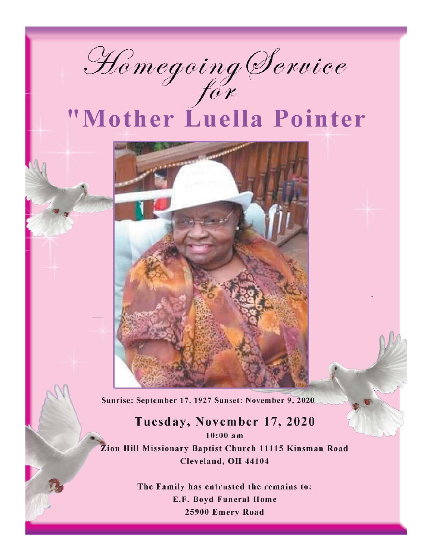

Sunrise: September 17, 1927 Sunset: November 9, 2020

## Tuesday, November 17, 2020

 $10:00$  am Zion Hill Missionary Baptist Church 11115 Kinsman Road Cleveland, OH 44104

> The Family has entrusted the remains to: **E.F. Boyd Funeral Home** 25900 Emery Road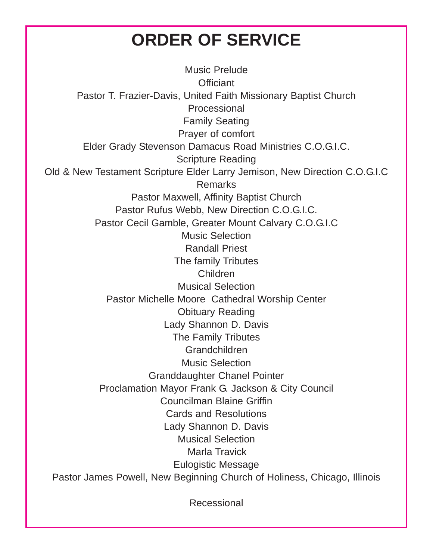## **ORDER OF SERVICE**

Music Prelude **Officiant** Pastor T. Frazier-Davis, United Faith Missionary Baptist Church Processional Family Seating Prayer of comfort Elder Grady Stevenson Damacus Road Ministries C.O.G.I.C. Scripture Reading Old & New Testament Scripture Elder Larry Jemison, New Direction C.O.G.I.C Remarks Pastor Maxwell, Affinity Baptist Church Pastor Rufus Webb, New Direction C.O.G.I.C. Pastor Cecil Gamble, Greater Mount Calvary C.O.G.I.C Music Selection Randall Priest The family Tributes Children Musical Selection Pastor Michelle Moore Cathedral Worship Center Obituary Reading Lady Shannon D. Davis The Family Tributes Grandchildren Music Selection Granddaughter Chanel Pointer Proclamation Mayor Frank G. Jackson & City Council Councilman Blaine Griffin Cards and Resolutions Lady Shannon D. Davis Musical Selection Marla Travick Eulogistic Message Pastor James Powell, New Beginning Church of Holiness, Chicago, Illinois

Recessional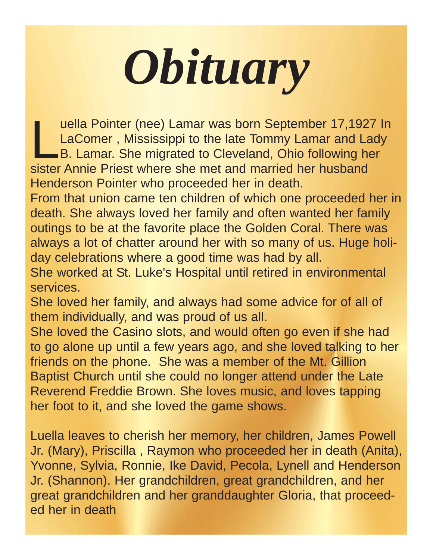

L uella Pointer (nee) Lamar was born September 17,1927 In LaComer , Mississippi to the late Tommy Lamar and Lady B. Lamar. She migrated to Cleveland, Ohio following her sister Annie Priest where she met and married her husband Henderson Pointer who proceeded her in death.

From that union came ten children of which one proceeded her in death. She always loved her family and often wanted her family outings to be at the favorite place the Golden Coral. There was always a lot of chatter around her with so many of us. Huge holiday celebrations where a good time was had by all.

She worked at St. Luke's Hospital until retired in environmental services.

She loved her family, and always had some advice for of all of them individually, and was proud of us all.

She loved the Casino slots, and would often go even if she had to go alone up until a few years ago, and she loved talking to her friends on the phone. She was a member of the Mt. Gillion Baptist Church until she could no longer attend under the Late Reverend Freddie Brown. She loves music, and loves tapping her foot to it, and she loved the game shows.

Luella leaves to cherish her memory, her children, James Powell Jr. (Mary), Priscilla , Raymon who proceeded her in death (Anita), Yvonne, Sylvia, Ronnie, Ike David, Pecola, Lynell and Henderson Jr. (Shannon). Her grandchildren, great grandchildren, and her great grandchildren and her granddaughter Gloria, that proceeded her in death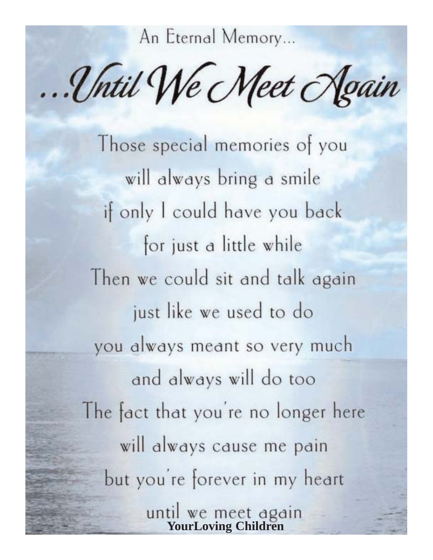An Eternal Memory...

...Until We Meet Again

Those special memories of you will always bring a smile if only I could have you back for just a little while Then we could sit and talk again just like we used to do you always meant so very much and always will do too The fact that you're no longer here will always cause me pain but you're forever in my heart **YourLoving Children**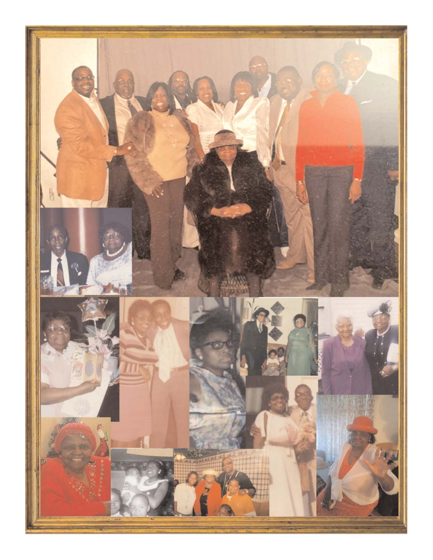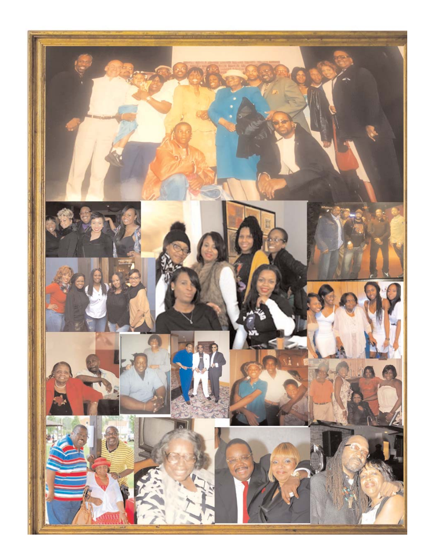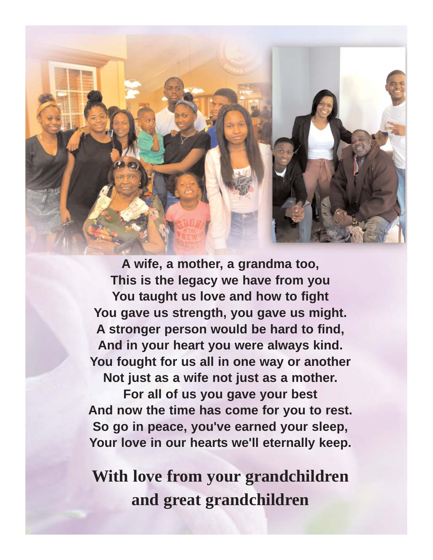

**A wife, a mother, a grandma too, This is the legacy we have from you You taught us love and how to fight You gave us strength, you gave us might. A stronger person would be hard to find, And in your heart you were always kind. You fought for us all in one way or another Not just as a wife not just as a mother.**

**For all of us you gave your best And now the time has come for you to rest. So go in peace, you've earned your sleep, Your love in our hearts we'll eternally keep.**

**With love from your grandchildren and great grandchildren**